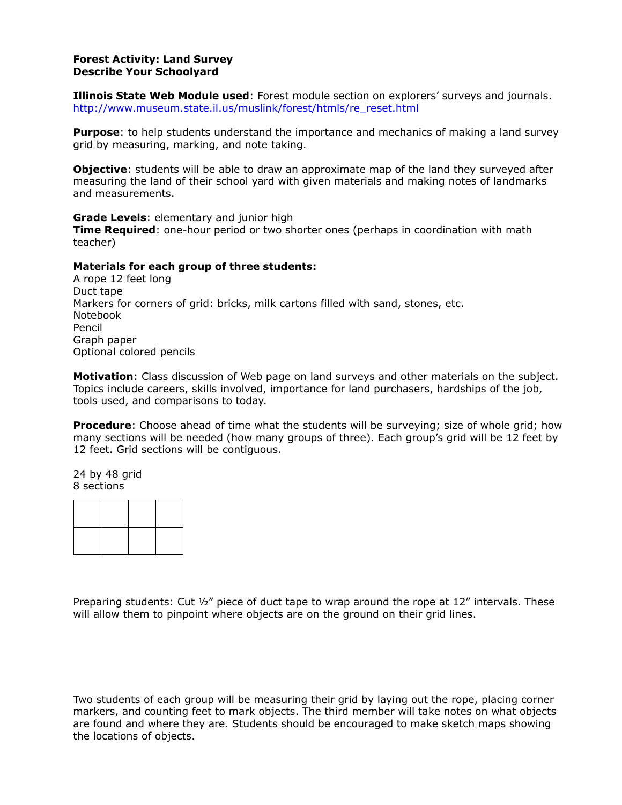## **Forest Activity: Land Survey Describe Your Schoolyard**

**Illinois State Web Module used**: Forest module section on explorersí surveys and journals. http://www.museum.state.il.us/muslink/forest/htmls/re\_reset.html

**Purpose**: to help students understand the importance and mechanics of making a land survey grid by measuring, marking, and note taking.

**Objective**: students will be able to draw an approximate map of the land they surveyed after measuring the land of their school yard with given materials and making notes of landmarks and measurements.

**Grade Levels**: elementary and junior high

**Time Required**: one-hour period or two shorter ones (perhaps in coordination with math teacher)

## **Materials for each group of three students:**

A rope 12 feet long Duct tape Markers for corners of grid: bricks, milk cartons filled with sand, stones, etc. Notebook Pencil Graph paper Optional colored pencils

**Motivation**: Class discussion of Web page on land surveys and other materials on the subject. Topics include careers, skills involved, importance for land purchasers, hardships of the job, tools used, and comparisons to today.

**Procedure**: Choose ahead of time what the students will be surveying; size of whole grid; how many sections will be needed (how many groups of three). Each groupís grid will be 12 feet by 12 feet. Grid sections will be contiguous.

24 by 48 grid 8 sections

Preparing students: Cut  $\frac{1}{2}$ " piece of duct tape to wrap around the rope at 12" intervals. These will allow them to pinpoint where objects are on the ground on their grid lines.

Two students of each group will be measuring their grid by laying out the rope, placing corner markers, and counting feet to mark objects. The third member will take notes on what objects are found and where they are. Students should be encouraged to make sketch maps showing the locations of objects.